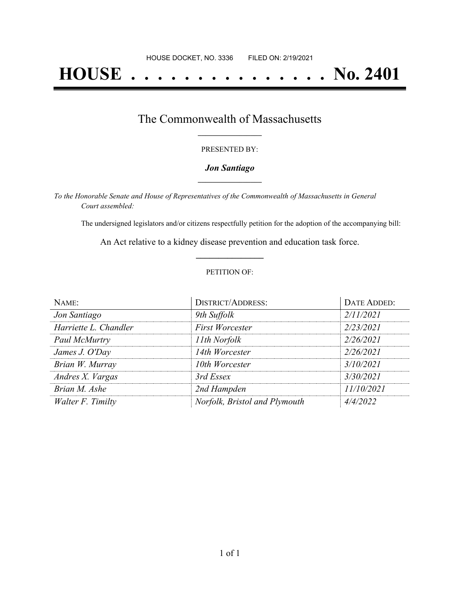# **HOUSE . . . . . . . . . . . . . . . No. 2401**

### The Commonwealth of Massachusetts **\_\_\_\_\_\_\_\_\_\_\_\_\_\_\_\_\_**

#### PRESENTED BY:

#### *Jon Santiago* **\_\_\_\_\_\_\_\_\_\_\_\_\_\_\_\_\_**

*To the Honorable Senate and House of Representatives of the Commonwealth of Massachusetts in General Court assembled:*

The undersigned legislators and/or citizens respectfully petition for the adoption of the accompanying bill:

An Act relative to a kidney disease prevention and education task force. **\_\_\_\_\_\_\_\_\_\_\_\_\_\_\_**

#### PETITION OF:

| NAME:                 | <b>DISTRICT/ADDRESS:</b>      | DATE ADDED: |
|-----------------------|-------------------------------|-------------|
| Jon Santiago          | 9th Suffolk                   | 2/11/2021   |
| Harriette L. Chandler | <b>First Worcester</b>        | 2/23/2021   |
| Paul McMurtry         | 11th Norfolk                  | 2/26/2021   |
| James J. O'Day        | 14th Worcester                | 2/26/2021   |
| Brian W. Murray       | 10th Worcester                | 3/10/2021   |
| Andres X. Vargas      | 3rd Essex                     | 3/30/2021   |
| Brian M. Ashe         | 2nd Hampden                   | 11/10/2021  |
| Walter F. Timilty     | Norfolk, Bristol and Plymouth | 4/4/2022    |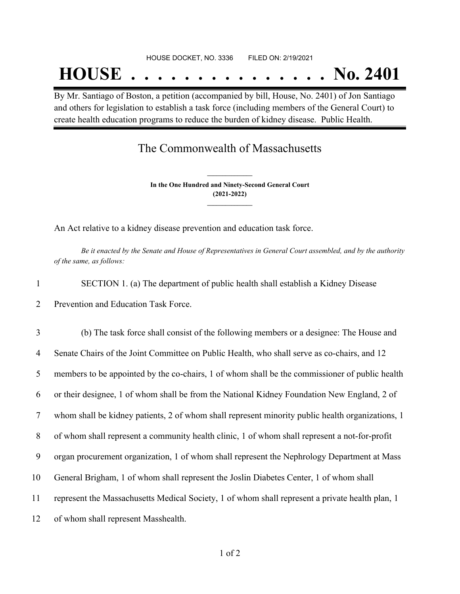## **HOUSE . . . . . . . . . . . . . . . No. 2401**

By Mr. Santiago of Boston, a petition (accompanied by bill, House, No. 2401) of Jon Santiago and others for legislation to establish a task force (including members of the General Court) to create health education programs to reduce the burden of kidney disease. Public Health.

## The Commonwealth of Massachusetts

**In the One Hundred and Ninety-Second General Court (2021-2022) \_\_\_\_\_\_\_\_\_\_\_\_\_\_\_**

**\_\_\_\_\_\_\_\_\_\_\_\_\_\_\_**

An Act relative to a kidney disease prevention and education task force.

Be it enacted by the Senate and House of Representatives in General Court assembled, and by the authority *of the same, as follows:*

- 1 SECTION 1. (a) The department of public health shall establish a Kidney Disease
- 2 Prevention and Education Task Force.

 (b) The task force shall consist of the following members or a designee: The House and Senate Chairs of the Joint Committee on Public Health, who shall serve as co-chairs, and 12 members to be appointed by the co-chairs, 1 of whom shall be the commissioner of public health or their designee, 1 of whom shall be from the National Kidney Foundation New England, 2 of whom shall be kidney patients, 2 of whom shall represent minority public health organizations, 1 of whom shall represent a community health clinic, 1 of whom shall represent a not-for-profit organ procurement organization, 1 of whom shall represent the Nephrology Department at Mass General Brigham, 1 of whom shall represent the Joslin Diabetes Center, 1 of whom shall represent the Massachusetts Medical Society, 1 of whom shall represent a private health plan, 1 of whom shall represent Masshealth.